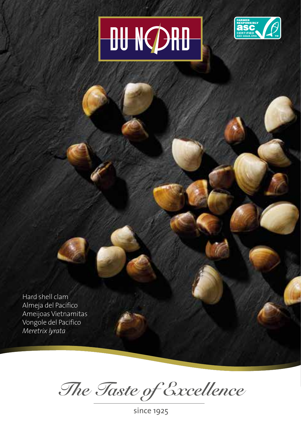## **DU NØRD**



Hard shell clam Almeja del Pacifico Ameijoas Vietnamitas Vongole del Pacifico *Meretrix lyrata*

*The Taste of Excellence*

since 1925